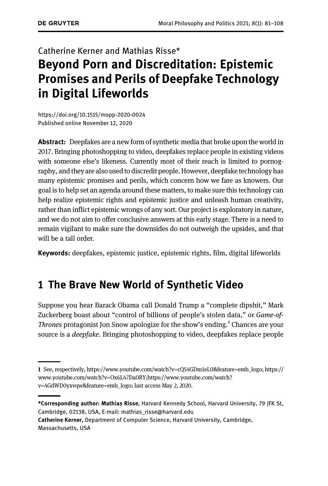# Catherine Kerner and Mathias Risse\* Beyond Porn and Discreditation: Epistemic Promises and Perils of Deepfake Technology in Digital Lifeworlds

<https://doi.org/10.1515/mopp-2020-0024> [Published online November 12, 2020](https://doi.org/10.1515/mopp-2020-0024)

Abstract: Deepfakes are a new form of synthetic media that broke upon the world in 2017. Bringing photoshopping to video, deepfakes replace people in existing videos with someone else's likeness. Currently most of their reach is limited to pornography, and they are also used to discredit people. However, deepfake technology has many epistemic promises and perils, which concern how we fare as knowers. Our goal is to help set an agenda around these matters, to make sure this technology can help realize epistemic rights and epistemic justice and unleash human creativity, rather than inflict epistemic wrongs of any sort. Our project is exploratory in nature, and we do not aim to offer conclusive answers at this early stage. There is a need to remain vigilant to make sure the downsides do not outweigh the upsides, and that will be a tall order.

Keywords: deepfakes, epistemic justice, epistemic rights, film, digital lifeworlds

### 1 The Brave New World of Synthetic Video

Suppose you hear Barack Obama call Donald Trump a "complete dipshit," Mark Zuckerberg boast about "control of billions of people's stolen data," or Game-of-Thrones protagonist Jon Snow apologize for the show's ending.<sup>1</sup> Chances are your source is a *deepfake*. Bringing photoshopping to video, deepfakes replace people

Catherine Kerner, Department of Computer Science, Harvard University, Cambridge, Massachusetts, USA

<sup>1</sup> See, respectively, [https://www.youtube.com/watch?v=cQ54GDm1eL0&feature=emb\\_logo;](https://www.youtube.com/watch?v=cQ54GDm1eL0&feature=emb_logo) [https://](https://www.youtube.com/watch?v=Ox6L47Da0RY) [www.youtube.com/watch?v=Ox6L47Da0RY](https://www.youtube.com/watch?v=Ox6L47Da0RY);[https://www.youtube.com/watch?](https://www.youtube.com/watch?v=4GdWD0yxvqw&feature=emb_logo) [v=4GdWD0yxvqw&feature=emb\\_logo;](https://www.youtube.com/watch?v=4GdWD0yxvqw&feature=emb_logo) last access May 2, 2020.

<sup>\*</sup>Corresponding author: Mathias Risse, Harvard Kennedy School, Harvard University, 79 JFK St, Cambridge, 02138, USA, E-mail: [mathias\\_risse@harvard.edu](mailto:mathias_risse@harvard.edu)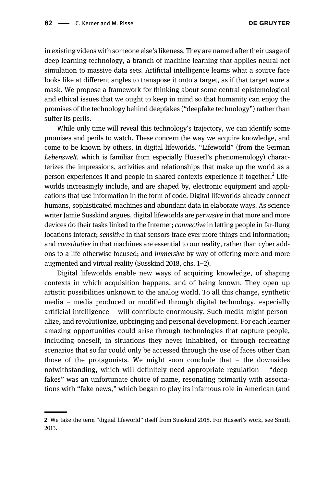in existing videos with someone else's likeness. They are named after their usage of deep learning technology, a branch of machine learning that applies neural net simulation to massive data sets. Artificial intelligence learns what a source face looks like at different angles to transpose it onto a target, as if that target wore a mask. We propose a framework for thinking about some central epistemological and ethical issues that we ought to keep in mind so that humanity can enjoy the promises of the technology behind deepfakes ("deepfake technology") rather than suffer its perils.

While only time will reveal this technology's trajectory, we can identify some promises and perils to watch. These concern the way we acquire knowledge, and come to be known by others, in digital lifeworlds. "Lifeworld" (from the German Lebenswelt, which is familiar from especially Husserl's phenomenology) characterizes the impressions, activities and relationships that make up the world as a person experiences it and people in shared contexts experience it together.<sup>2</sup> Lifeworlds increasingly include, and are shaped by, electronic equipment and applications that use information in the form of code. Digital lifeworlds already connect humans, sophisticated machines and abundant data in elaborate ways. As science writer Jamie Susskind argues, digital lifeworlds are *pervasive* in that more and more devices do their tasks linked to the Internet; connective in letting people in far-flung locations interact; sensitive in that sensors trace ever more things and information; and constitutive in that machines are essential to our reality, rather than cyber addons to a life otherwise focused; and immersive by way of offering more and more augmented and virtual reality ([Susskind 2018](#page-27-0), chs. 1–2).

Digital lifeworlds enable new ways of acquiring knowledge, of shaping contexts in which acquisition happens, and of being known. They open up artistic possibilities unknown to the analog world. To all this change, synthetic media – media produced or modified through digital technology, especially artificial intelligence – will contribute enormously. Such media might personalize, and revolutionize, upbringing and personal development. For each learner amazing opportunities could arise through technologies that capture people, including oneself, in situations they never inhabited, or through recreating scenarios that so far could only be accessed through the use of faces other than those of the protagonists. We might soon conclude that  $-$  the downsides notwithstanding, which will definitely need appropriate regulation – "deepfakes" was an unfortunate choice of name, resonating primarily with associations with "fake news," which began to play its infamous role in American (and

<sup>2</sup> We take the term "digital lifeworld" itself from [Susskind 2018.](#page-27-0) For Husserl's work, see [Smith](#page-27-0) [2013.](#page-27-0)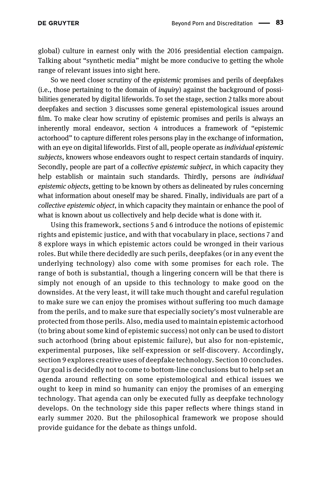global) culture in earnest only with the 2016 presidential election campaign. Talking about "synthetic media" might be more conducive to getting the whole range of relevant issues into sight here.

So we need closer scrutiny of the epistemic promises and perils of deepfakes  $(i.e., those pertaining to the domain of *inquiv*) against the background of possi$ bilities generated by digital lifeworlds. To set the stage, [section 2](#page-3-0) talks more about deepfakes and [section 3](#page-5-0) discusses some general epistemological issues around film. To make clear how scrutiny of epistemic promises and perils is always an inherently moral endeavor, [section 4](#page-8-0) introduces a framework of "epistemic actorhood" to capture different roles persons play in the exchange of information, with an eye on digital lifeworlds. First of all, people operate as *individual epistemic* subjects, knowers whose endeavors ought to respect certain standards of inquiry. Secondly, people are part of a collective epistemic subject, in which capacity they help establish or maintain such standards. Thirdly, persons are *individual* epistemic objects, getting to be known by others as delineated by rules concerning what information about oneself may be shared. Finally, individuals are part of a collective epistemic object, in which capacity they maintain or enhance the pool of what is known about us collectively and help decide what is done with it.

Using this framework, [sections 5](#page-11-0) and [6](#page-13-0) introduce the notions of epistemic rights and epistemic justice, and with that vocabulary in place, [sections 7](#page-16-0) and [8](#page-19-0) explore ways in which epistemic actors could be wronged in their various roles. But while there decidedly are such perils, deepfakes (or in any event the underlying technology) also come with some promises for each role. The range of both is substantial, though a lingering concern will be that there is simply not enough of an upside to this technology to make good on the downsides. At the very least, it will take much thought and careful regulation to make sure we can enjoy the promises without suffering too much damage from the perils, and to make sure that especially society's most vulnerable are protected from those perils. Also, media used to maintain epistemic actorhood (to bring about some kind of epistemic success) not only can be used to distort such actorhood (bring about epistemic failure), but also for non-epistemic, experimental purposes, like self-expression or self-discovery. Accordingly, [section 9](#page-21-0) explores creative uses of deepfake technology. [Section 10](#page-24-0) concludes. Our goal is decidedly not to come to bottom-line conclusions but to help set an agenda around reflecting on some epistemological and ethical issues we ought to keep in mind so humanity can enjoy the promises of an emerging technology. That agenda can only be executed fully as deepfake technology develops. On the technology side this paper reflects where things stand in early summer 2020. But the philosophical framework we propose should provide guidance for the debate as things unfold.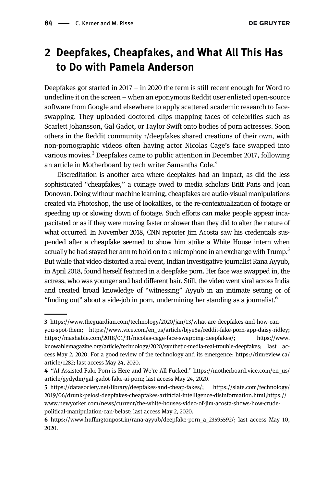### <span id="page-3-0"></span>2 Deepfakes, Cheapfakes, and What All This Has to Do with Pamela Anderson

Deepfakes got started in 2017 – in 2020 the term is still recent enough for Word to underline it on the screen – when an eponymous Reddit user enlisted open-source software from Google and elsewhere to apply scattered academic research to faceswapping. They uploaded doctored clips mapping faces of celebrities such as Scarlett Johansson, Gal Gadot, or Taylor Swift onto bodies of porn actresses. Soon others in the Reddit community r/deepfakes shared creations of their own, with non-pornographic videos often having actor Nicolas Cage's face swapped into various movies.<sup>3</sup> Deepfakes came to public attention in December 2017, following an article in Motherboard by tech writer Samantha Cole.<sup>4</sup>

Discreditation is another area where deepfakes had an impact, as did the less sophisticated "cheapfakes," a coinage owed to media scholars Britt Paris and Joan Donovan. Doing without machine learning, cheapfakes are audio-visual manipulations created via Photoshop, the use of lookalikes, or the re-contextualization of footage or speeding up or slowing down of footage. Such efforts can make people appear incapacitated or as if they were moving faster or slower than they did to alter the nature of what occurred. In November 2018, CNN reporter Jim Acosta saw his credentials suspended after a cheapfake seemed to show him strike a White House intern when actually he had stayed her arm to hold on to a microphone in an exchange with Trump.<sup>5</sup> But while that video distorted a real event, Indian investigative journalist Rana Ayyub, in April 2018, found herself featured in a deepfake porn. Her face was swapped in, the actress, who was younger and had different hair. Still, the video went viral across India and created broad knowledge of "witnessing" Ayyub in an intimate setting or of "finding out" about a side-job in porn, undermining her standing as a journalist.<sup>6</sup>

<sup>3</sup> [https://www.theguardian.com/technology/2020/jan/13/what-are-deepfakes-and-how-can](https://www.theguardian.com/technology/2020/jan/13/what-are-deepfakes-and-how-can-you-spot-them)[you-spot-them](https://www.theguardian.com/technology/2020/jan/13/what-are-deepfakes-and-how-can-you-spot-them); [https://www.vice.com/en\\_us/article/bjye8a/reddit-fake-porn-app-daisy-ridley;](https://www.vice.com/en_us/article/bjye8a/reddit-fake-porn-app-daisy-ridley)

[https://mashable.com/2018/01/31/nicolas-cage-face-swapping-deepfakes/;](https://mashable.com/2018/01/31/nicolas-cage-face-swapping-deepfakes/) [https://www.](https://www.knowablemagazine.org/article/technology/2020/synthetic-media-real-trouble-deepfakes) [knowablemagazine.org/article/technology/2020/synthetic-media-real-trouble-deepfakes](https://www.knowablemagazine.org/article/technology/2020/synthetic-media-real-trouble-deepfakes); last access May 2, 2020. For a good review of the technology and its emergence: [https://timreview.ca/](https://timreview.ca/article/1282) [article/1282](https://timreview.ca/article/1282); last access May 24, 2020.

<sup>4</sup> "AI-Assisted Fake Porn is Here and We're All Fucked." [https://motherboard.vice.com/en\\_us/](https://motherboard.vice.com/en_us/article/gydydm/gal-gadot-fake-ai-porn) [article/gydydm/gal-gadot-fake-ai-porn](https://motherboard.vice.com/en_us/article/gydydm/gal-gadot-fake-ai-porn); last access May 24, 2020.

<sup>5</sup> [https://datasociety.net/library/deepfakes-and-cheap-fakes/;](https://datasociety.net/library/deepfakes-and-cheap-fakes/) [https://slate.com/technology/](https://slate.com/technology/2019/06/drunk-pelosi-deepfakes-cheapfakes-artificial-intelligence-disinformation.html;https://www.newyorker.com/news/current/the-white-houses-video-of-jim-acosta-shows-how-crude-political-manipulation-can-belast) [2019/06/drunk-pelosi-deepfakes-cheapfakes-arti](https://slate.com/technology/2019/06/drunk-pelosi-deepfakes-cheapfakes-artificial-intelligence-disinformation.html;https://www.newyorker.com/news/current/the-white-houses-video-of-jim-acosta-shows-how-crude-political-manipulation-can-belast)ficial-intelligence-disinformation.html;https:// [www.newyorker.com/news/current/the-white-houses-video-of-jim-acosta-shows-how-crude](https://slate.com/technology/2019/06/drunk-pelosi-deepfakes-cheapfakes-artificial-intelligence-disinformation.html;https://www.newyorker.com/news/current/the-white-houses-video-of-jim-acosta-shows-how-crude-political-manipulation-can-belast)[political-manipulation-can-belast;](https://slate.com/technology/2019/06/drunk-pelosi-deepfakes-cheapfakes-artificial-intelligence-disinformation.html;https://www.newyorker.com/news/current/the-white-houses-video-of-jim-acosta-shows-how-crude-political-manipulation-can-belast) last access May 2, 2020.

<sup>6</sup> https://www.huffi[ngtonpost.in/rana-ayyub/deepfake-porn\\_a\\_23595592/](https://www.huffingtonpost.in/rana-ayyub/deepfake-porn_a_23595592/); last access May 10, 2020.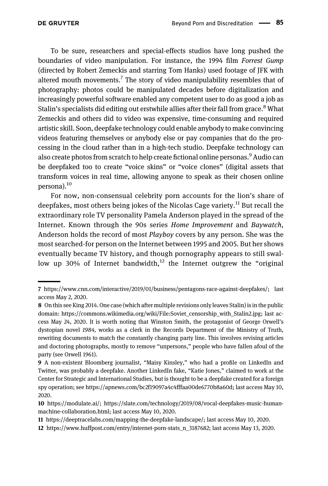To be sure, researchers and special-effects studios have long pushed the boundaries of video manipulation. For instance, the 1994 film Forrest Gump (directed by Robert Zemeckis and starring Tom Hanks) used footage of JFK with altered mouth movements.<sup>7</sup> The story of video manipulability resembles that of photography: photos could be manipulated decades before digitalization and increasingly powerful software enabled any competent user to do as good a job as Stalin's specialists did editing out erstwhile allies after their fall from grace.<sup>8</sup> What Zemeckis and others did to video was expensive, time-consuming and required artistic skill. Soon, deepfake technology could enable anybody to make convincing videos featuring themselves or anybody else or pay companies that do the processing in the cloud rather than in a high-tech studio. Deepfake technology can also create photos from scratch to help create fictional online personas.<sup>9</sup> Audio can be deepfaked too to create "voice skins" or "voice clones" (digital assets that transform voices in real time, allowing anyone to speak as their chosen online persona).<sup>10</sup>

For now, non-consensual celebrity porn accounts for the lion's share of deepfakes, most others being jokes of the Nicolas Cage variety.<sup>11</sup> But recall the extraordinary role TV personality Pamela Anderson played in the spread of the Internet. Known through the 90s series Home Improvement and Baywatch, Anderson holds the record of most Playboy covers by any person. She was the most searched-for person on the Internet between 1995 and 2005. But her shows eventually became TV history, and though pornography appears to still swallow up 30% of Internet bandwidth,<sup>12</sup> the Internet outgrew the "original

<sup>7</sup> [https://www.cnn.com/interactive/2019/01/business/pentagons-race-against-deepfakes/;](https://www.cnn.com/interactive/2019/01/business/pentagons-race-against-deepfakes/) last access May 2, 2020.

<sup>8</sup> On this see [King 2014.](#page-26-0) One case (which after multiple revisions only leaves Stalin) is in the public domain: [https://commons.wikimedia.org/wiki/File:Soviet\\_censorship\\_with\\_Stalin2.jpg](https://commons.wikimedia.org/wiki/File:Soviet_censorship_with_Stalin2.jpg); last access May 24, 2020. It is worth noting that Winston Smith, the protagonist of George Orwell's dystopian novel 1984, works as a clerk in the Records Department of the Ministry of Truth, rewriting documents to match the constantly changing party line. This involves revising articles and doctoring photographs, mostly to remove "unpersons," people who have fallen afoul of the party (see [Orwell 1961\)](#page-27-0).

<sup>9</sup> A non-existent Bloomberg journalist, "Maisy Kinsley," who had a profile on LinkedIn and Twitter, was probably a deepfake. Another LinkedIn fake, "Katie Jones," claimed to work at the Center for Strategic and International Studies, but is thought to be a deepfake created for a foreign spy operation; see<https://apnews.com/bc2f19097a4c4fffaa00de6770b8a60d>; last access May 10, 2020.

<sup>10</sup> <https://modulate.ai/>; [https://slate.com/technology/2019/08/vocal-deepfakes-music-human](https://slate.com/technology/2019/08/vocal-deepfakes-music-human-machine-collaboration.html)[machine-collaboration.html](https://slate.com/technology/2019/08/vocal-deepfakes-music-human-machine-collaboration.html); last access May 10, 2020.

<sup>11</sup> [https://deeptracelabs.com/mapping-the-deepfake-landscape/;](https://deeptracelabs.com/mapping-the-deepfake-landscape/) last access May 10, 2020.

<sup>12</sup> [https://www.huffpost.com/entry/internet-porn-stats\\_n\\_3187682](https://www.huffpost.com/entry/internet-porn-stats_n_3187682); last access May 13, 2020.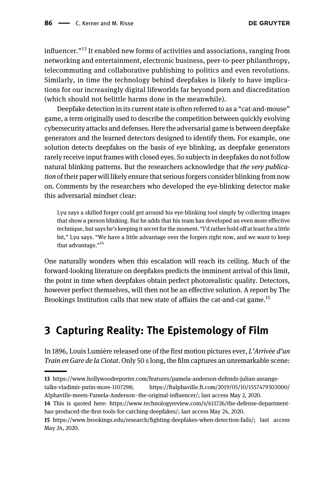<span id="page-5-0"></span>influencer."<sup>13</sup> It enabled new forms of activities and associations, ranging from networking and entertainment, electronic business, peer-to-peer philanthropy, telecommuting and collaborative publishing to politics and even revolutions. Similarly, in time the technology behind deepfakes is likely to have implications for our increasingly digital lifeworlds far beyond porn and discreditation (which should not belittle harms done in the meanwhile).

Deepfake detection in its current state is often referred to as a "cat-and-mouse" game, a term originally used to describe the competition between quickly evolving cybersecurity attacks and defenses. Here the adversarial game is between deepfake generators and the learned detectors designed to identify them. For example, one solution detects deepfakes on the basis of eye blinking, as deepfake generators rarely receive input frames with closed eyes. So subjects in deepfakes do not follow natural blinking patterns. But the researchers acknowledge that the very publication of their paper will likely ensure that serious forgers consider blinking from now on. Comments by the researchers who developed the eye-blinking detector make this adversarial mindset clear:

Lyu says a skilled forger could get around his eye-blinking tool simply by collecting images that show a person blinking. But he adds that his team has developed an even more effective technique, but says he's keeping it secret for the moment. "I'd rather hold off at least for a little bit," Lyu says. "We have a little advantage over the forgers right now, and we want to keep that advantage."<sup>14</sup>

One naturally wonders when this escalation will reach its ceiling. Much of the forward-looking literature on deepfakes predicts the imminent arrival of this limit, the point in time when deepfakes obtain perfect photorealistic quality. Detectors, however perfect themselves, will then not be an effective solution. A report by The Brookings Institution calls that new state of affairs the cat-and-cat game.<sup>15</sup>

## 3 Capturing Reality: The Epistemology of Film

In 1896, Louis Lumière released one of the first motion pictures ever, L'Arrivée d'un Train en Gare de la Ciotat. Only 50 s long, the film captures an unremarkable scene:

<sup>13</sup> [https://www.hollywoodreporter.com/features/pamela-anderson-defends-julian-assange](https://www.hollywoodreporter.com/features/pamela-anderson-defends-julian-assange-talks-vladimir-putin-more-1107298)[talks-vladimir-putin-more-1107298;](https://www.hollywoodreporter.com/features/pamela-anderson-defends-julian-assange-talks-vladimir-putin-more-1107298) [https://ftalphaville.ft.com/2019/05/10/1557479303000/](https://ftalphaville.ft.com/2019/05/10/1557479303000/Alphaville-meets-Pamela-Anderson--the-original-influencer/) [Alphaville-meets-Pamela-Anderson](https://ftalphaville.ft.com/2019/05/10/1557479303000/Alphaville-meets-Pamela-Anderson--the-original-influencer/)–the-original-influencer/; last access May 2, 2020.

<sup>14</sup> This is quoted here: [https://www.technologyreview.com/s/611726/the-defense-department](https://www.technologyreview.com/s/611726/the-defense-department-has-produced-the-first-tools-for-catching-deepfakes/)has-produced-the-fi[rst-tools-for-catching-deepfakes/](https://www.technologyreview.com/s/611726/the-defense-department-has-produced-the-first-tools-for-catching-deepfakes/); last access May 24, 2020.

<sup>15</sup> https://www.brookings.edu/research/fi[ghting-deepfakes-when-detection-fails/;](https://www.brookings.edu/research/fighting-deepfakes-when-detection-fails/) last access May 24, 2020.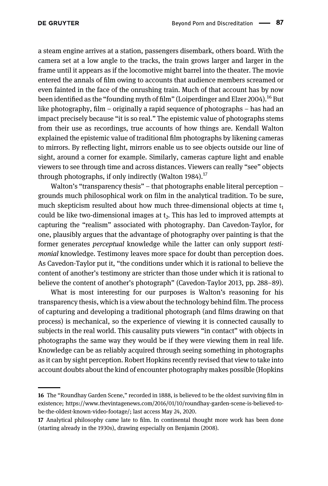a steam engine arrives at a station, passengers disembark, others board. With the camera set at a low angle to the tracks, the train grows larger and larger in the frame until it appears as if the locomotive might barrel into the theater. The movie entered the annals of film owing to accounts that audience members screamed or even fainted in the face of the onrushing train. Much of that account has by now been identified as the "founding myth of film" ([Loiperdinger and Elzer 2004\)](#page-26-0).<sup>16</sup> But like photography, film – originally a rapid sequence of photographs – has had an impact precisely because "it is so real." The epistemic value of photographs stems from their use as recordings, true accounts of how things are. Kendall Walton explained the epistemic value of traditional film photographs by likening cameras to mirrors. By reflecting light, mirrors enable us to see objects outside our line of sight, around a corner for example. Similarly, cameras capture light and enable viewers to see through time and across distances. Viewers can really "see" objects through photographs, if only indirectly ([Walton 1984](#page-27-0)).<sup>17</sup>

Walton's "transparency thesis" – that photographs enable literal perception – grounds much philosophical work on film in the analytical tradition. To be sure, much skepticism resulted about how much three-dimensional objects at time  $t_1$ could be like two-dimensional images at  $t<sub>2</sub>$ . This has led to improved attempts at capturing the "realism" associated with photography. Dan Cavedon-Taylor, for one, plausibly argues that the advantage of photography over painting is that the former generates perceptual knowledge while the latter can only support testimonial knowledge. Testimony leaves more space for doubt than perception does. As Cavedon-Taylor put it, "the conditions under which it is rational to believe the content of another's testimony are stricter than those under which it is rational to believe the content of another's photograph" [\(Cavedon-Taylor 2013,](#page-26-0) pp. 288–89).

What is most interesting for our purposes is Walton's reasoning for his transparency thesis, which is a view about the technology behind film. The process of capturing and developing a traditional photograph (and films drawing on that process) is mechanical, so the experience of viewing it is connected causally to subjects in the real world. This causality puts viewers "in contact" with objects in photographs the same way they would be if they were viewing them in real life. Knowledge can be as reliably acquired through seeing something in photographs as it can by sight perception. Robert Hopkins recently revised that view to take into account doubts about the kind of encounter photography makes possible ([Hopkins](#page-26-0)

<sup>16</sup> The "Roundhay Garden Scene," recorded in 1888, is believed to be the oldest surviving film in existence; [https://www.thevintagenews.com/2016/01/10/roundhay-garden-scene-is-believed-to](https://www.thevintagenews.com/2016/01/10/roundhay-garden-scene-is-believed-to-be-the-oldest-known-video-footage/)[be-the-oldest-known-video-footage/;](https://www.thevintagenews.com/2016/01/10/roundhay-garden-scene-is-believed-to-be-the-oldest-known-video-footage/) last access May 24, 2020.

<sup>17</sup> Analytical philosophy came late to film. In continental thought more work has been done (starting already in the 1930s), drawing especially on [Benjamin \(2008\)](#page-26-0).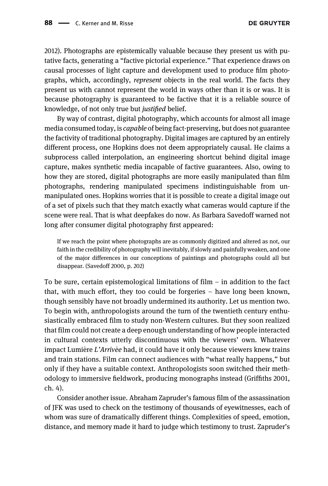[2012](#page-26-0)). Photographs are epistemically valuable because they present us with putative facts, generating a "factive pictorial experience." That experience draws on causal processes of light capture and development used to produce film photographs, which, accordingly, represent objects in the real world. The facts they present us with cannot represent the world in ways other than it is or was. It is because photography is guaranteed to be factive that it is a reliable source of knowledge, of not only true but justified belief.

By way of contrast, digital photography, which accounts for almost all image media consumed today, is capable of being fact-preserving, but does not guarantee the factivity of traditional photography. Digital images are captured by an entirely different process, one Hopkins does not deem appropriately causal. He claims a subprocess called interpolation, an engineering shortcut behind digital image capture, makes synthetic media incapable of factive guarantees. Also, owing to how they are stored, digital photographs are more easily manipulated than film photographs, rendering manipulated specimens indistinguishable from unmanipulated ones. Hopkins worries that it is possible to create a digital image out of a set of pixels such that they match exactly what cameras would capture if the scene were real. That is what deepfakes do now. As Barbara Savedoff warned not long after consumer digital photography first appeared:

If we reach the point where photographs are as commonly digitized and altered as not, our faith in the credibility of photography will inevitably, if slowly and painfully weaken, and one of the major differences in our conceptions of paintings and photographs could all but disappear. [\(Savedoff 2000,](#page-27-0) p. 202)

To be sure, certain epistemological limitations of film  $-$  in addition to the fact that, with much effort, they too could be forgeries – have long been known, though sensibly have not broadly undermined its authority. Let us mention two. To begin with, anthropologists around the turn of the twentieth century enthusiastically embraced film to study non-Western cultures. But they soon realized that film could not create a deep enough understanding of how people interacted in cultural contexts utterly discontinuous with the viewers' own. Whatever impact Lumière L'Arrivée had, it could have it only because viewers knew trains and train stations. Film can connect audiences with "what really happens," but only if they have a suitable context. Anthropologists soon switched their methodology to immersive fieldwork, producing monographs instead (Griffi[ths 2001,](#page-26-0) ch. 4).

Consider another issue. Abraham Zapruder's famous film of the assassination of JFK was used to check on the testimony of thousands of eyewitnesses, each of whom was sure of dramatically different things. Complexities of speed, emotion, distance, and memory made it hard to judge which testimony to trust. Zapruder's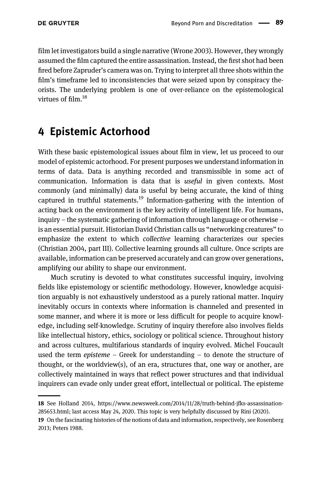<span id="page-8-0"></span>film let investigators build a single narrative ([Wrone 2003\)](#page-27-0). However, they wrongly assumed the film captured the entire assassination. Instead, the first shot had been fired before Zapruder's camera was on. Trying to interpret all three shots within the film's timeframe led to inconsistencies that were seized upon by conspiracy theorists. The underlying problem is one of over-reliance on the epistemological virtues of film.<sup>18</sup>

#### 4 Epistemic Actorhood

With these basic epistemological issues about film in view, let us proceed to our model of epistemic actorhood. For present purposes we understand information in terms of data. Data is anything recorded and transmissible in some act of communication. Information is data that is useful in given contexts. Most commonly (and minimally) data is useful by being accurate, the kind of thing captured in truthful statements.<sup>19</sup> Information-gathering with the intention of acting back on the environment is the key activity of intelligent life. For humans, inquiry – the systematic gathering of information through language or otherwise – is an essential pursuit. Historian David Christian calls us "networking creatures" to emphasize the extent to which collective learning characterizes our species [\(Christian 2004](#page-26-0), part III). Collective learning grounds all culture. Once scripts are available, information can be preserved accurately and can grow over generations, amplifying our ability to shape our environment.

Much scrutiny is devoted to what constitutes successful inquiry, involving fields like epistemology or scientific methodology. However, knowledge acquisition arguably is not exhaustively understood as a purely rational matter. Inquiry inevitably occurs in contexts where information is channeled and presented in some manner, and where it is more or less difficult for people to acquire knowledge, including self-knowledge. Scrutiny of inquiry therefore also involves fields like intellectual history, ethics, sociology or political science. Throughout history and across cultures, multifarious standards of inquiry evolved. Michel Foucault used the term episteme – Greek for understanding – to denote the structure of thought, or the worldview(s), of an era, structures that, one way or another, are collectively maintained in ways that reflect power structures and that individual inquirers can evade only under great effort, intellectual or political. The episteme

<sup>18</sup> See Holland 2014, [https://www.newsweek.com/2014/11/28/truth-behind-jfks-assassination-](https://www.newsweek.com/2014/11/28/truth-behind-jfks-assassination-285653.html)[285653.html](https://www.newsweek.com/2014/11/28/truth-behind-jfks-assassination-285653.html); last access May 24, 2020. This topic is very helpfully discussed by [Rini \(2020\).](#page-27-0)

<sup>19</sup> On the fascinating histories of the notions of data and information, respectively, see [Rosenberg](#page-27-0) [2013](#page-27-0); [Peters 1988](#page-27-0).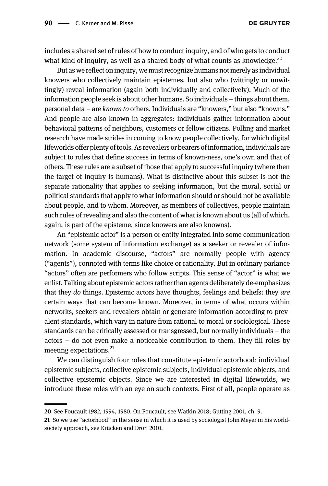includes a shared set of rules of how to conduct inquiry, and of who gets to conduct what kind of inquiry, as well as a shared body of what counts as knowledge. $^{20}$ 

But as we reflect on inquiry, we must recognize humans not merely as individual knowers who collectively maintain epistemes, but also who (wittingly or unwittingly) reveal information (again both individually and collectively). Much of the information people seek is about other humans. So individuals – things about them, personal data – are known to others. Individuals are "knowers," but also "knowns." And people are also known in aggregates: individuals gather information about behavioral patterns of neighbors, customers or fellow citizens. Polling and market research have made strides in coming to know people collectively, for which digital lifeworlds offer plenty of tools. As revealers or bearers of information, individuals are subject to rules that define success in terms of known-ness, one's own and that of others. These rules are a subset of those that apply to successful inquiry (where then the target of inquiry is humans). What is distinctive about this subset is not the separate rationality that applies to seeking information, but the moral, social or political standards that apply to what information should or should not be available about people, and to whom. Moreover, as members of collectives, people maintain such rules of revealing and also the content of what is known about us (all of which, again, is part of the episteme, since knowers are also knowns).

An "epistemic actor" is a person or entity integrated into some communication network (some system of information exchange) as a seeker or revealer of information. In academic discourse, "actors" are normally people with agency ("agents"), connoted with terms like choice or rationality. But in ordinary parlance "actors" often are performers who follow scripts. This sense of "actor" is what we enlist. Talking about epistemic actors rather than agents deliberately de-emphasizes that they do things. Epistemic actors have thoughts, feelings and beliefs: they are certain ways that can become known. Moreover, in terms of what occurs within networks, seekers and revealers obtain or generate information according to prevalent standards, which vary in nature from rational to moral or sociological. These standards can be critically assessed or transgressed, but normally individuals – the actors – do not even make a noticeable contribution to them. They fill roles by meeting expectations.<sup>21</sup>

We can distinguish four roles that constitute epistemic actorhood: individual epistemic subjects, collective epistemic subjects, individual epistemic objects, and collective epistemic objects. Since we are interested in digital lifeworlds, we introduce these roles with an eye on such contexts. First of all, people operate as

<sup>20</sup> See [Foucault 1982, 1994, 1980](#page-26-0). On Foucault, see [Watkin 2018](#page-27-0); [Gutting 2001](#page-26-0), ch. 9.

<sup>21</sup> So we use "actorhood" in the sense in which it is used by sociologist John Meyer in his worldsociety approach, see [Krücken and Drori 2010](#page-26-0).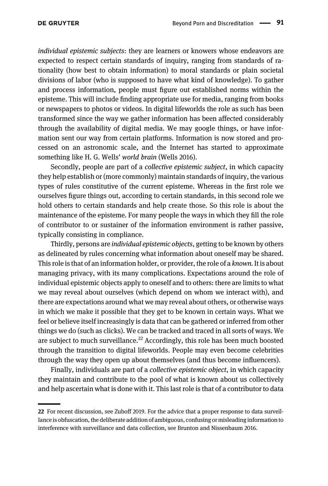individual epistemic subjects: they are learners or knowers whose endeavors are expected to respect certain standards of inquiry, ranging from standards of rationality (how best to obtain information) to moral standards or plain societal divisions of labor (who is supposed to have what kind of knowledge). To gather and process information, people must figure out established norms within the episteme. This will include finding appropriate use for media, ranging from books or newspapers to photos or videos. In digital lifeworlds the role as such has been transformed since the way we gather information has been affected considerably through the availability of digital media. We may google things, or have information sent our way from certain platforms. Information is now stored and processed on an astronomic scale, and the Internet has started to approximate something like H. G. Wells' world brain [\(Wells 2016\)](#page-27-0).

Secondly, people are part of a *collective epistemic subject*, in which capacity they help establish or (more commonly) maintain standards of inquiry, the various types of rules constitutive of the current episteme. Whereas in the first role we ourselves figure things out, according to certain standards, in this second role we hold others to certain standards and help create those. So this role is about the maintenance of the episteme. For many people the ways in which they fill the role of contributor to or sustainer of the information environment is rather passive, typically consisting in compliance.

Thirdly, persons are individual epistemic objects, getting to be known by others as delineated by rules concerning what information about oneself may be shared. This role is that of an information holder, or provider, the role of a known. It is about managing privacy, with its many complications. Expectations around the role of individual epistemic objects apply to oneself and to others: there are limits to what we may reveal about ourselves (which depend on whom we interact with), and there are expectations around what we may reveal about others, or otherwise ways in which we make it possible that they get to be known in certain ways. What we feel or believe itself increasingly is data that can be gathered or inferred from other things we do (such as clicks). We can be tracked and traced in all sorts of ways. We are subject to much surveillance.<sup>22</sup> Accordingly, this role has been much boosted through the transition to digital lifeworlds. People may even become celebrities through the way they open up about themselves (and thus become influencers).

Finally, individuals are part of a collective epistemic object, in which capacity they maintain and contribute to the pool of what is known about us collectively and help ascertain what is done with it. This last role is that of a contributor to data

<sup>22</sup> For recent discussion, see [Zuboff 2019](#page-27-0). For the advice that a proper response to data surveillance is obfuscation, the deliberate addition of ambiguous, confusing or misleading information to interference with surveillance and data collection, see [Brunton and Nissenbaum 2016.](#page-26-0)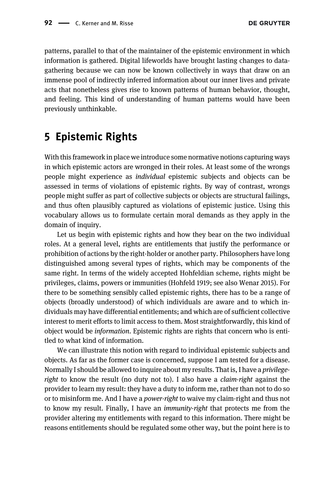<span id="page-11-0"></span>patterns, parallel to that of the maintainer of the epistemic environment in which information is gathered. Digital lifeworlds have brought lasting changes to datagathering because we can now be known collectively in ways that draw on an immense pool of indirectly inferred information about our inner lives and private acts that nonetheless gives rise to known patterns of human behavior, thought, and feeling. This kind of understanding of human patterns would have been previously unthinkable.

#### 5 Epistemic Rights

With this framework in place we introduce some normative notions capturing ways in which epistemic actors are wronged in their roles. At least some of the wrongs people might experience as individual epistemic subjects and objects can be assessed in terms of violations of epistemic rights. By way of contrast, wrongs people might suffer as part of collective subjects or objects are structural failings, and thus often plausibly captured as violations of epistemic justice. Using this vocabulary allows us to formulate certain moral demands as they apply in the domain of inquiry.

Let us begin with epistemic rights and how they bear on the two individual roles. At a general level, rights are entitlements that justify the performance or prohibition of actions by the right-holder or another party. Philosophers have long distinguished among several types of rights, which may be components of the same right. In terms of the widely accepted Hohfeldian scheme, rights might be privileges, claims, powers or immunities ([Hohfeld 1919](#page-26-0); see also [Wenar 2015\)](#page-27-0). For there to be something sensibly called epistemic rights, there has to be a range of objects (broadly understood) of which individuals are aware and to which individuals may have differential entitlements; and which are of sufficient collective interest to merit efforts to limit access to them. Most straightforwardly, this kind of object would be information. Epistemic rights are rights that concern who is entitled to what kind of information.

We can illustrate this notion with regard to individual epistemic subjects and objects. As far as the former case is concerned, suppose I am tested for a disease. Normally I should be allowed to inquire about my results. That is, I have a *privilege*right to know the result (no duty not to). I also have a claim-right against the provider to learn my result: they have a duty to inform me, rather than not to do so or to misinform me. And I have a power-right to waive my claim-right and thus not to know my result. Finally, I have an immunity-right that protects me from the provider altering my entitlements with regard to this information. There might be reasons entitlements should be regulated some other way, but the point here is to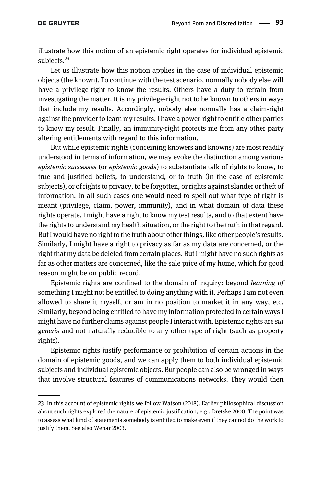illustrate how this notion of an epistemic right operates for individual epistemic subjects.<sup>23</sup>

Let us illustrate how this notion applies in the case of individual epistemic objects (the known). To continue with the test scenario, normally nobody else will have a privilege-right to know the results. Others have a duty to refrain from investigating the matter. It is my privilege-right not to be known to others in ways that include my results. Accordingly, nobody else normally has a claim-right against the provider to learn my results. I have a power-right to entitle other parties to know my result. Finally, an immunity-right protects me from any other party altering entitlements with regard to this information.

But while epistemic rights (concerning knowers and knowns) are most readily understood in terms of information, we may evoke the distinction among various epistemic successes (or epistemic goods) to substantiate talk of rights to know, to true and justified beliefs, to understand, or to truth (in the case of epistemic subjects), or of rights to privacy, to be forgotten, or rights against slander or theft of information. In all such cases one would need to spell out what type of right is meant (privilege, claim, power, immunity), and in what domain of data these rights operate. I might have a right to know my test results, and to that extent have the rights to understand my health situation, or the right to the truth in that regard. But I would have no right to the truth about other things, like other people's results. Similarly, I might have a right to privacy as far as my data are concerned, or the right that my data be deleted from certain places. But I might have no such rights as far as other matters are concerned, like the sale price of my home, which for good reason might be on public record.

Epistemic rights are confined to the domain of inquiry: beyond learning of something I might not be entitled to doing anything with it. Perhaps I am not even allowed to share it myself, or am in no position to market it in any way, etc. Similarly, beyond being entitled to have my information protected in certain ways I might have no further claims against people I interact with. Epistemic rights are sui generis and not naturally reducible to any other type of right (such as property rights).

Epistemic rights justify performance or prohibition of certain actions in the domain of epistemic goods, and we can apply them to both individual epistemic subjects and individual epistemic objects. But people can also be wronged in ways that involve structural features of communications networks. They would then

<sup>23</sup> In this account of epistemic rights we follow [Watson \(2018\).](#page-27-0) Earlier philosophical discussion about such rights explored the nature of epistemic justification, e.g., [Dretske 2000](#page-26-0). The point was to assess what kind of statements somebody is entitled to make even if they cannot do the work to justify them. See also [Wenar 2003.](#page-27-0)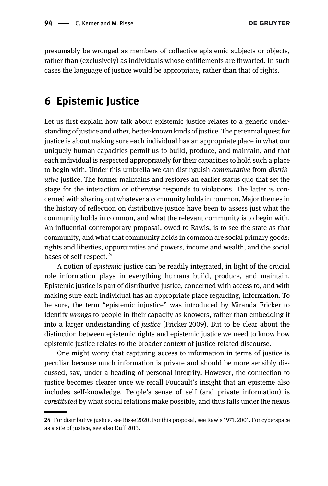<span id="page-13-0"></span>presumably be wronged as members of collective epistemic subjects or objects, rather than (exclusively) as individuals whose entitlements are thwarted. In such cases the language of justice would be appropriate, rather than that of rights.

#### 6 Epistemic Justice

Let us first explain how talk about epistemic justice relates to a generic understanding of justice and other, better-known kinds of justice. The perennial quest for justice is about making sure each individual has an appropriate place in what our uniquely human capacities permit us to build, produce, and maintain, and that each individual is respected appropriately for their capacities to hold such a place to begin with. Under this umbrella we can distinguish commutative from distributive justice. The former maintains and restores an earlier status quo that set the stage for the interaction or otherwise responds to violations. The latter is concerned with sharing out whatever a community holds in common. Major themes in the history of reflection on distributive justice have been to assess just what the community holds in common, and what the relevant community is to begin with. An influential contemporary proposal, owed to Rawls, is to see the state as that community, and what that community holds in common are social primary goods: rights and liberties, opportunities and powers, income and wealth, and the social bases of self-respect.<sup>24</sup>

A notion of epistemic justice can be readily integrated, in light of the crucial role information plays in everything humans build, produce, and maintain. Epistemic justice is part of distributive justice, concerned with access to, and with making sure each individual has an appropriate place regarding, information. To be sure, the term "epistemic injustice" was introduced by Miranda Fricker to identify wrongs to people in their capacity as knowers, rather than embedding it into a larger understanding of justice ([Fricker 2009](#page-26-0)). But to be clear about the distinction between epistemic rights and epistemic justice we need to know how epistemic justice relates to the broader context of justice-related discourse.

One might worry that capturing access to information in terms of justice is peculiar because much information is private and should be more sensibly discussed, say, under a heading of personal integrity. However, the connection to justice becomes clearer once we recall Foucault's insight that an episteme also includes self-knowledge. People's sense of self (and private information) is constituted by what social relations make possible, and thus falls under the nexus

<sup>24</sup> For distributive justice, see [Risse 2020.](#page-27-0) For this proposal, see [Rawls 1971, 2001.](#page-27-0) For cyberspace as a site of justice, see also [Duff 2013.](#page-26-0)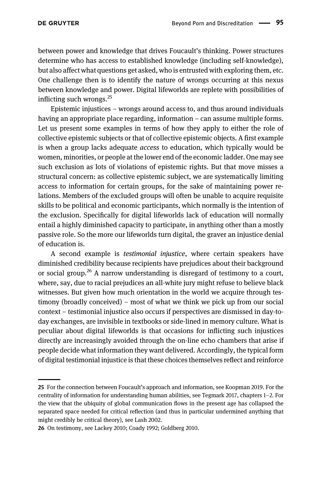between power and knowledge that drives Foucault's thinking. Power structures determine who has access to established knowledge (including self-knowledge), but also affect what questions get asked, who is entrusted with exploring them, etc. One challenge then is to identify the nature of wrongs occurring at this nexus between knowledge and power. Digital lifeworlds are replete with possibilities of inflicting such wrongs. $^{25}$ 

Epistemic injustices – wrongs around access to, and thus around individuals having an appropriate place regarding, information – can assume multiple forms. Let us present some examples in terms of how they apply to either the role of collective epistemic subjects or that of collective epistemic objects. A first example is when a group lacks adequate *access* to education, which typically would be women, minorities, or people at the lower end of the economic ladder. One may see such exclusion as lots of violations of epistemic rights. But that move misses a structural concern: as collective epistemic subject, we are systematically limiting access to information for certain groups, for the sake of maintaining power relations. Members of the excluded groups will often be unable to acquire requisite skills to be political and economic participants, which normally is the intention of the exclusion. Specifically for digital lifeworlds lack of education will normally entail a highly diminished capacity to participate, in anything other than a mostly passive role. So the more our lifeworlds turn digital, the graver an injustice denial of education is.

A second example is testimonial injustice, where certain speakers have diminished credibility because recipients have prejudices about their background or social group.<sup>26</sup> A narrow understanding is disregard of testimony to a court, where, say, due to racial prejudices an all-white jury might refuse to believe black witnesses. But given how much orientation in the world we acquire through testimony (broadly conceived) – most of what we think we pick up from our social context – testimonial injustice also occurs if perspectives are dismissed in day-today exchanges, are invisible in textbooks or side-lined in memory culture. What is peculiar about digital lifeworlds is that occasions for inflicting such injustices directly are increasingly avoided through the on-line echo chambers that arise if people decide what information they want delivered. Accordingly, the typical form of digital testimonial injustice is that these choices themselves reflect and reinforce

<sup>25</sup> For the connection between Foucault's approach and information, see [Koopman 2019](#page-26-0). For the centrality of information for understanding human abilities, see [Tegmark 2017](#page-27-0), chapters 1–2. For the view that the ubiquity of global communication flows in the present age has collapsed the separated space needed for critical reflection (and thus in particular undermined anything that might credibly be critical theory), see [Lash 2002.](#page-26-0)

<sup>26</sup> On testimony, see [Lackey 2010](#page-26-0); [Coady 1992](#page-26-0); [Goldberg 2010.](#page-26-0)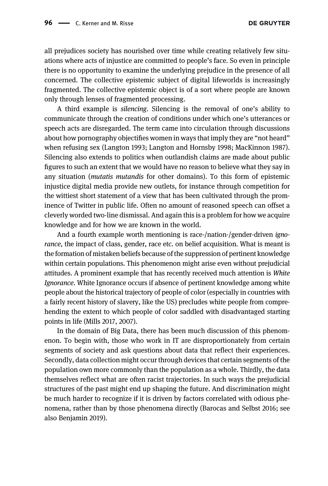all prejudices society has nourished over time while creating relatively few situations where acts of injustice are committed to people's face. So even in principle there is no opportunity to examine the underlying prejudice in the presence of all concerned. The collective epistemic subject of digital lifeworlds is increasingly fragmented. The collective epistemic object is of a sort where people are known only through lenses of fragmented processing.

A third example is silencing. Silencing is the removal of one's ability to communicate through the creation of conditions under which one's utterances or speech acts are disregarded. The term came into circulation through discussions about how pornography objectifies women in ways that imply they are "not heard" when refusing sex ([Langton 1993](#page-26-0); [Langton and Hornsby 1998; MacKinnon 1987\)](#page-26-0). Silencing also extends to politics when outlandish claims are made about public figures to such an extent that we would have no reason to believe what they say in any situation (mutatis mutandis for other domains). To this form of epistemic injustice digital media provide new outlets, for instance through competition for the wittiest short statement of a view that has been cultivated through the prominence of Twitter in public life. Often no amount of reasoned speech can offset a cleverly worded two-line dismissal. And again this is a problem for how we acquire knowledge and for how we are known in the world.

And a fourth example worth mentioning is race-/nation-/gender-driven ignorance, the impact of class, gender, race etc. on belief acquisition. What is meant is the formation of mistaken beliefs because of the suppression of pertinent knowledge within certain populations. This phenomenon might arise even without prejudicial attitudes. A prominent example that has recently received much attention is White Ignorance. White Ignorance occurs if absence of pertinent knowledge among white people about the historical trajectory of people of color (especially in countries with a fairly recent history of slavery, like the US) precludes white people from comprehending the extent to which people of color saddled with disadvantaged starting points in life [\(Mills 2017](#page-26-0), [2007](#page-27-0)).

In the domain of Big Data, there has been much discussion of this phenomenon. To begin with, those who work in IT are disproportionately from certain segments of society and ask questions about data that reflect their experiences. Secondly, data collection might occur through devices that certain segments of the population own more commonly than the population as a whole. Thirdly, the data themselves reflect what are often racist trajectories. In such ways the prejudicial structures of the past might end up shaping the future. And discrimination might be much harder to recognize if it is driven by factors correlated with odious phenomena, rather than by those phenomena directly [\(Barocas and Selbst 2016;](#page-25-0) see also [Benjamin 2019](#page-25-0)).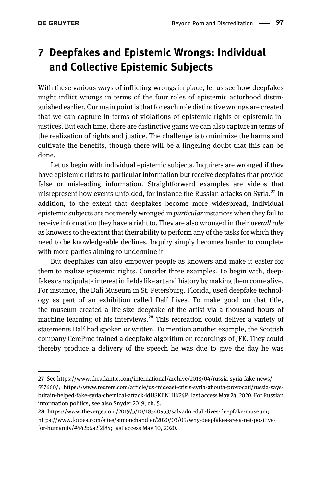# <span id="page-16-0"></span>7 Deepfakes and Epistemic Wrongs: Individual and Collective Epistemic Subjects

With these various ways of inflicting wrongs in place, let us see how deepfakes might inflict wrongs in terms of the four roles of epistemic actorhood distinguished earlier. Our main point is that for each role distinctive wrongs are created that we can capture in terms of violations of epistemic rights or epistemic injustices. But each time, there are distinctive gains we can also capture in terms of the realization of rights and justice. The challenge is to minimize the harms and cultivate the benefits, though there will be a lingering doubt that this can be done.

Let us begin with individual epistemic subjects. Inquirers are wronged if they have epistemic rights to particular information but receive deepfakes that provide false or misleading information. Straightforward examples are videos that misrepresent how events unfolded, for instance the Russian attacks on Syria.<sup>27</sup> In addition, to the extent that deepfakes become more widespread, individual epistemic subjects are not merely wronged in particular instances when they fail to receive information they have a right to. They are also wronged in their overall role as knowers to the extent that their ability to perform any of the tasks for which they need to be knowledgeable declines. Inquiry simply becomes harder to complete with more parties aiming to undermine it.

But deepfakes can also empower people as knowers and make it easier for them to realize epistemic rights. Consider three examples. To begin with, deepfakes can stipulate interest in fields like art and history by making them come alive. For instance, the Dalí Museum in St. Petersburg, Florida, used deepfake technology as part of an exhibition called Dalí Lives. To make good on that title, the museum created a life-size deepfake of the artist via a thousand hours of machine learning of his interviews.<sup>28</sup> This recreation could deliver a variety of statements Dalí had spoken or written. To mention another example, the Scottish company CereProc trained a deepfake algorithm on recordings of JFK. They could thereby produce a delivery of the speech he was due to give the day he was

<sup>27</sup> See [https://www.theatlantic.com/international/archive/2018/04/russia-syria-fake-news/](https://www.theatlantic.com/international/archive/2018/04/russia-syria-fake-news/557660/) [557660/](https://www.theatlantic.com/international/archive/2018/04/russia-syria-fake-news/557660/); [https://www.reuters.com/article/us-mideast-crisis-syria-ghouta-provocati/russia-says](https://www.reuters.com/article/us-mideast-crisis-syria-ghouta-provocati/russia-says-britain-helped-fake-syria-chemical-attack-idUSKBN1HK24P)[britain-helped-fake-syria-chemical-attack-idUSKBN1HK24P](https://www.reuters.com/article/us-mideast-crisis-syria-ghouta-provocati/russia-says-britain-helped-fake-syria-chemical-attack-idUSKBN1HK24P); last access May 24, 2020. For Russian information politics, see also [Snyder 2019](#page-27-0), ch. 5.

<sup>28</sup> <https://www.theverge.com/2019/5/10/18540953/salvador-dali-lives-deepfake-museum>; [https://www.forbes.com/sites/simonchandler/2020/03/09/why-deepfakes-are-a-net-positive](https://www.forbes.com/sites/simonchandler/2020/03/09/why-deepfakes-are-a-net-positive-for-humanity/#442b6a2f2f84)[for-humanity/#442b6a2f2f84](https://www.forbes.com/sites/simonchandler/2020/03/09/why-deepfakes-are-a-net-positive-for-humanity/#442b6a2f2f84); last access May 10, 2020.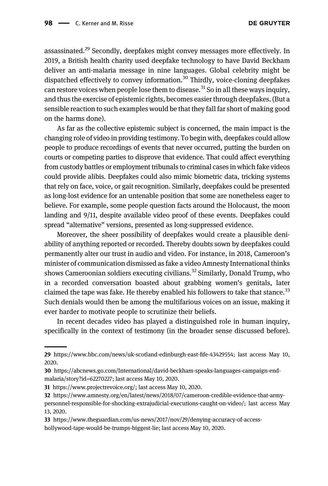assassinated.<sup>29</sup> Secondly, deepfakes might convey messages more effectively. In 2019, a British health charity used deepfake technology to have David Beckham deliver an anti-malaria message in nine languages. Global celebrity might be dispatched effectively to convey information.<sup>30</sup> Thirdly, voice-cloning deepfakes can restore voices when people lose them to disease.<sup>31</sup> So in all these ways inquiry, and thus the exercise of epistemic rights, becomes easier through deepfakes. (But a sensible reaction to such examples would be that they fall far short of making good on the harms done).

As far as the collective epistemic subject is concerned, the main impact is the changing role of video in providing testimony. To begin with, deepfakes could allow people to produce recordings of events that never occurred, putting the burden on courts or competing parties to disprove that evidence. That could affect everything from custody battles or employment tribunals to criminal cases in which fake videos could provide alibis. Deepfakes could also mimic biometric data, tricking systems that rely on face, voice, or gait recognition. Similarly, deepfakes could be presented as long-lost evidence for an untenable position that some are nonetheless eager to believe. For example, some people question facts around the Holocaust, the moon landing and 9/11, despite available video proof of these events. Deepfakes could spread "alternative" versions, presented as long-suppressed evidence.

Moreover, the sheer possibility of deepfakes would create a plausible deniability of anything reported or recorded. Thereby doubts sown by deepfakes could permanently alter our trust in audio and video. For instance, in 2018, Cameroon's minister of communication dismissed as fake a video Amnesty International thinks shows Cameroonian soldiers executing civilians.<sup>32</sup> Similarly, Donald Trump, who in a recorded conversation boasted about grabbing women's genitals, later claimed the tape was fake. He thereby enabled his followers to take that stance.<sup>33</sup> Such denials would then be among the multifarious voices on an issue, making it ever harder to motivate people to scrutinize their beliefs.

In recent decades video has played a distinguished role in human inquiry, specifically in the context of testimony (in the broader sense discussed before).

<sup>29</sup> [https://www.bbc.com/news/uk-scotland-edinburgh-east-](https://www.bbc.com/news/uk-scotland-edinburgh-east-fife-43429554)fife-43429554; last access May 10, 2020.

<sup>30</sup> [https://abcnews.go.com/International/david-beckham-speaks-languages-campaign-end](https://abcnews.go.com/International/david-beckham-speaks-languages-campaign-end-malaria/story?id=62270227)[malaria/story?id=62270227](https://abcnews.go.com/International/david-beckham-speaks-languages-campaign-end-malaria/story?id=62270227); last access May 10, 2020.

<sup>31</sup> <https://www.projectrevoice.org/>; last access May 10, 2020.

<sup>32</sup> [https://www.amnesty.org/en/latest/news/2018/07/cameroon-credible-evidence-that-army](https://www.amnesty.org/en/latest/news/2018/07/cameroon-credible-evidence-that-army-personnel-responsible-for-shocking-extrajudicial-executions-caught-on-video/)[personnel-responsible-for-shocking-extrajudicial-executions-caught-on-video/;](https://www.amnesty.org/en/latest/news/2018/07/cameroon-credible-evidence-that-army-personnel-responsible-for-shocking-extrajudicial-executions-caught-on-video/) last access May 13, 2020.

<sup>33</sup> [https://www.theguardian.com/us-news/2017/nov/29/denying-accuracy-of-access](https://www.theguardian.com/us-news/2017/nov/29/denying-accuracy-of-access-hollywood-tape-would-be-trumps-biggest-lie)[hollywood-tape-would-be-trumps-biggest-lie](https://www.theguardian.com/us-news/2017/nov/29/denying-accuracy-of-access-hollywood-tape-would-be-trumps-biggest-lie); last access May 10, 2020.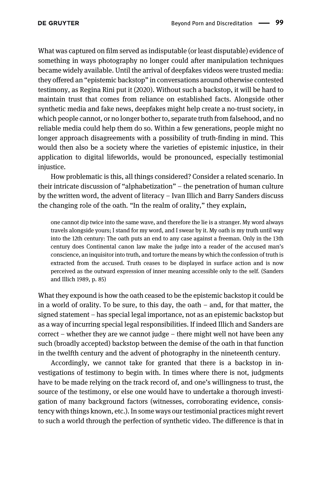What was captured on film served as indisputable (or least disputable) evidence of something in ways photography no longer could after manipulation techniques became widely available. Until the arrival of deepfakes videos were trusted media: they offered an "epistemic backstop" in conversations around otherwise contested testimony, as Regina Rini put it (2020). Without such a backstop, it will be hard to maintain trust that comes from reliance on established facts. Alongside other synthetic media and fake news, deepfakes might help create a no-trust society, in which people cannot, or no longer bother to, separate truth from falsehood, and no reliable media could help them do so. Within a few generations, people might no longer approach disagreements with a possibility of truth-finding in mind. This would then also be a society where the varieties of epistemic injustice, in their application to digital lifeworlds, would be pronounced, especially testimonial injustice.

How problematic is this, all things considered? Consider a related scenario. In their intricate discussion of "alphabetization" – the penetration of human culture by the written word, the advent of literacy – Ivan Illich and Barry Sanders discuss the changing role of the oath. "In the realm of orality," they explain,

one cannot dip twice into the same wave, and therefore the lie is a stranger. My word always travels alongside yours; I stand for my word, and I swear by it. My oath is my truth until way into the 12th century: The oath puts an end to any case against a freeman. Only in the 13th century does Continental canon law make the judge into a reader of the accused man's conscience, an inquisitor into truth, and torture the means by which the confession of truth is extracted from the accused. Truth ceases to be displayed in surface action and is now perceived as the outward expression of inner meaning accessible only to the self. ([Sanders](#page-27-0) [and Illich 1989,](#page-27-0) p. 85)

What they expound is how the oath ceased to be the epistemic backstop it could be in a world of orality. To be sure, to this day, the oath – and, for that matter, the signed statement – has special legal importance, not as an epistemic backstop but as a way of incurring special legal responsibilities. If indeed Illich and Sanders are correct – whether they are we cannot judge – there might well not have been any such (broadly accepted) backstop between the demise of the oath in that function in the twelfth century and the advent of photography in the nineteenth century.

Accordingly, we cannot take for granted that there is a backstop in investigations of testimony to begin with. In times where there is not, judgments have to be made relying on the track record of, and one's willingness to trust, the source of the testimony, or else one would have to undertake a thorough investigation of many background factors (witnesses, corroborating evidence, consistency with things known, etc.). In some ways our testimonial practices might revert to such a world through the perfection of synthetic video. The difference is that in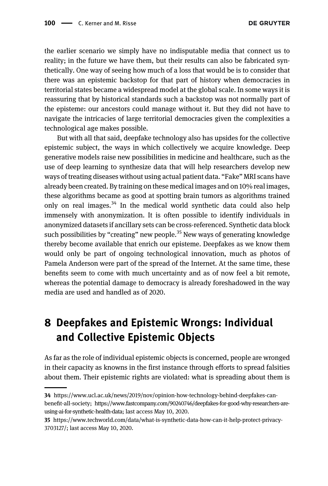<span id="page-19-0"></span>the earlier scenario we simply have no indisputable media that connect us to reality; in the future we have them, but their results can also be fabricated synthetically. One way of seeing how much of a loss that would be is to consider that there was an epistemic backstop for that part of history when democracies in territorial states became a widespread model at the global scale. In some ways it is reassuring that by historical standards such a backstop was not normally part of the episteme: our ancestors could manage without it. But they did not have to navigate the intricacies of large territorial democracies given the complexities a technological age makes possible.

But with all that said, deepfake technology also has upsides for the collective epistemic subject, the ways in which collectively we acquire knowledge. Deep generative models raise new possibilities in medicine and healthcare, such as the use of deep learning to synthesize data that will help researchers develop new ways of treating diseases without using actual patient data. "Fake" MRI scans have already been created. By training on these medical images and on 10% real images, these algorithms became as good at spotting brain tumors as algorithms trained only on real images. $34$  In the medical world synthetic data could also help immensely with anonymization. It is often possible to identify individuals in anonymized datasets if ancillary sets can be cross-referenced. Synthetic data block such possibilities by "creating" new people.<sup>35</sup> New ways of generating knowledge thereby become available that enrich our episteme. Deepfakes as we know them would only be part of ongoing technological innovation, much as photos of Pamela Anderson were part of the spread of the Internet. At the same time, these benefits seem to come with much uncertainty and as of now feel a bit remote, whereas the potential damage to democracy is already foreshadowed in the way media are used and handled as of 2020.

## 8 Deepfakes and Epistemic Wrongs: Individual and Collective Epistemic Objects

As far as the role of individual epistemic objects is concerned, people are wronged in their capacity as knowns in the first instance through efforts to spread falsities about them. Their epistemic rights are violated: what is spreading about them is

<sup>34</sup> [https://www.ucl.ac.uk/news/2019/nov/opinion-how-technology-behind-deepfakes-can](https://www.ucl.ac.uk/news/2019/nov/opinion-how-technology-behind-deepfakes-can-benefit-all-society)benefi[t-all-society](https://www.ucl.ac.uk/news/2019/nov/opinion-how-technology-behind-deepfakes-can-benefit-all-society); [https://www.fastcompany.com/90240746/deepfakes-for-good-why-researchers-are](https://www.fastcompany.com/90240746/deepfakes-for-good-why-researchers-are-using-ai-for-synthetic-health-data)[using-ai-for-synthetic-health-data;](https://www.fastcompany.com/90240746/deepfakes-for-good-why-researchers-are-using-ai-for-synthetic-health-data) last access May 10, 2020.

<sup>35</sup> [https://www.techworld.com/data/what-is-synthetic-data-how-can-it-help-protect-privacy-](https://www.techworld.com/data/what-is-synthetic-data-how-can-it-help-protect-privacy-3703127/)[3703127/](https://www.techworld.com/data/what-is-synthetic-data-how-can-it-help-protect-privacy-3703127/); last access May 10, 2020.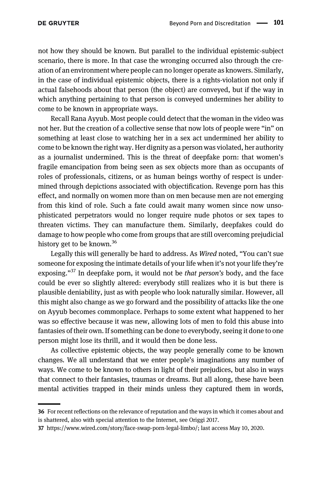not how they should be known. But parallel to the individual epistemic-subject scenario, there is more. In that case the wronging occurred also through the creation of an environment where people can no longer operate as knowers. Similarly, in the case of individual epistemic objects, there is a rights-violation not only if actual falsehoods about that person (the object) are conveyed, but if the way in which anything pertaining to that person is conveyed undermines her ability to come to be known in appropriate ways.

Recall Rana Ayyub. Most people could detect that the woman in the video was not her. But the creation of a collective sense that now lots of people were "in" on something at least close to watching her in a sex act undermined her ability to come to be known the right way. Her dignity as a person was violated, her authority as a journalist undermined. This is the threat of deepfake porn: that women's fragile emancipation from being seen as sex objects more than as occupants of roles of professionals, citizens, or as human beings worthy of respect is undermined through depictions associated with objectification. Revenge porn has this effect, and normally on women more than on men because men are not emerging from this kind of role. Such a fate could await many women since now unsophisticated perpetrators would no longer require nude photos or sex tapes to threaten victims. They can manufacture them. Similarly, deepfakes could do damage to how people who come from groups that are still overcoming prejudicial history get to be known.<sup>36</sup>

Legally this will generally be hard to address. As Wired noted, "You can't sue someone for exposing the intimate details of your life when it's not your life they're exposing."<sup>37</sup> In deepfake porn, it would not be *that person's* body, and the face could be ever so slightly altered: everybody still realizes who it is but there is plausible deniability, just as with people who look naturally similar. However, all this might also change as we go forward and the possibility of attacks like the one on Ayyub becomes commonplace. Perhaps to some extent what happened to her was so effective because it was new, allowing lots of men to fold this abuse into fantasies of their own. If something can be done to everybody, seeing it done to one person might lose its thrill, and it would then be done less.

As collective epistemic objects, the way people generally come to be known changes. We all understand that we enter people's imaginations any number of ways. We come to be known to others in light of their prejudices, but also in ways that connect to their fantasies, traumas or dreams. But all along, these have been mental activities trapped in their minds unless they captured them in words,

<sup>36</sup> For recent reflections on the relevance of reputation and the ways in which it comes about and is shattered, also with special attention to the Internet, see [Origgi 2017](#page-27-0).

<sup>37</sup> [https://www.wired.com/story/face-swap-porn-legal-limbo/;](https://www.wired.com/story/face-swap-porn-legal-limbo/) last access May 10, 2020.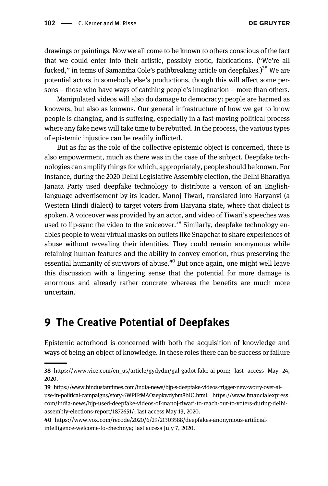<span id="page-21-0"></span>drawings or paintings. Now we all come to be known to others conscious of the fact that we could enter into their artistic, possibly erotic, fabrications. ("We're all fucked," in terms of Samantha Cole's pathbreaking article on deepfakes.)<sup>38</sup> We are potential actors in somebody else's productions, though this will affect some persons – those who have ways of catching people's imagination – more than others.

Manipulated videos will also do damage to democracy: people are harmed as knowers, but also as knowns. Our general infrastructure of how we get to know people is changing, and is suffering, especially in a fast-moving political process where any fake news will take time to be rebutted. In the process, the various types of epistemic injustice can be readily inflicted.

But as far as the role of the collective epistemic object is concerned, there is also empowerment, much as there was in the case of the subject. Deepfake technologies can amplify things for which, appropriately, people should be known. For instance, during the 2020 Delhi Legislative Assembly election, the Delhi Bharatiya Janata Party used deepfake technology to distribute a version of an Englishlanguage advertisement by its leader, Manoj Tiwari, translated into Haryanvi (a Western Hindi dialect) to target voters from Haryana state, where that dialect is spoken. A voiceover was provided by an actor, and video of Tiwari's speeches was used to lip-sync the video to the voice over.<sup>39</sup> Similarly, deepfake technology enables people to wear virtual masks on outlets like Snapchat to share experiences of abuse without revealing their identities. They could remain anonymous while retaining human features and the ability to convey emotion, thus preserving the essential humanity of survivors of abuse.<sup>40</sup> But once again, one might well leave this discussion with a lingering sense that the potential for more damage is enormous and already rather concrete whereas the benefits are much more uncertain.

#### 9 The Creative Potential of Deepfakes

Epistemic actorhood is concerned with both the acquisition of knowledge and ways of being an object of knowledge. In these roles there can be success or failure

<sup>38</sup> [https://www.vice.com/en\\_us/article/gydydm/gal-gadot-fake-ai-porn](https://www.vice.com/en_us/article/gydydm/gal-gadot-fake-ai-porn); last access May 24, 2020.

<sup>39</sup> [https://www.hindustantimes.com/india-news/bjp-s-deepfake-videos-trigger-new-worry-over-ai](https://www.hindustantimes.com/india-news/bjp-s-deepfake-videos-trigger-new-worry-over-ai-use-in-political-campaigns/story-6WPlFtMAOaepkwdybm8b1O.html)[use-in-political-campaigns/story-6WPlFtMAOaepkwdybm8b1O.html](https://www.hindustantimes.com/india-news/bjp-s-deepfake-videos-trigger-new-worry-over-ai-use-in-political-campaigns/story-6WPlFtMAOaepkwdybm8b1O.html); https://www.fi[nancialexpress.](https://www.financialexpress.com/india-news/bjp-used-deepfake-videos-of-manoj-tiwari-to-reach-out-to-voters-during-delhi-assembly-elections-report/1872651/) [com/india-news/bjp-used-deepfake-videos-of-manoj-tiwari-to-reach-out-to-voters-during-delhi](https://www.financialexpress.com/india-news/bjp-used-deepfake-videos-of-manoj-tiwari-to-reach-out-to-voters-during-delhi-assembly-elections-report/1872651/)[assembly-elections-report/1872651/](https://www.financialexpress.com/india-news/bjp-used-deepfake-videos-of-manoj-tiwari-to-reach-out-to-voters-during-delhi-assembly-elections-report/1872651/); last access May 13, 2020.

<sup>40</sup> [https://www.vox.com/recode/2020/6/29/21303588/deepfakes-anonymous-arti](https://www.vox.com/recode/2020/6/29/21303588/deepfakes-anonymous-artificial-intelligence-welcome-to-chechnya)ficial[intelligence-welcome-to-chechnya;](https://www.vox.com/recode/2020/6/29/21303588/deepfakes-anonymous-artificial-intelligence-welcome-to-chechnya) last access July 7, 2020.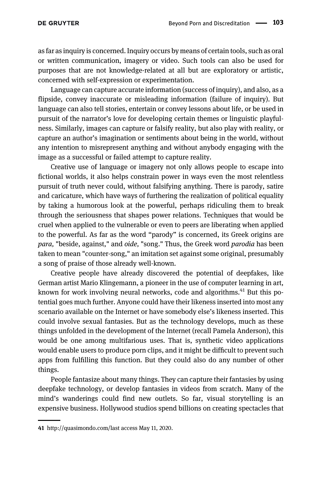as far as inquiry is concerned. Inquiry occurs by means of certain tools, such as oral or written communication, imagery or video. Such tools can also be used for purposes that are not knowledge-related at all but are exploratory or artistic, concerned with self-expression or experimentation.

Language can capture accurate information (success of inquiry), and also, as a flipside, convey inaccurate or misleading information (failure of inquiry). But language can also tell stories, entertain or convey lessons about life, or be used in pursuit of the narrator's love for developing certain themes or linguistic playfulness. Similarly, images can capture or falsify reality, but also play with reality, or capture an author's imagination or sentiments about being in the world, without any intention to misrepresent anything and without anybody engaging with the image as a successful or failed attempt to capture reality.

Creative use of language or imagery not only allows people to escape into fictional worlds, it also helps constrain power in ways even the most relentless pursuit of truth never could, without falsifying anything. There is parody, satire and caricature, which have ways of furthering the realization of political equality by taking a humorous look at the powerful, perhaps ridiculing them to break through the seriousness that shapes power relations. Techniques that would be cruel when applied to the vulnerable or even to peers are liberating when applied to the powerful. As far as the word "parody" is concerned, its Greek origins are para, "beside, against," and oide, "song." Thus, the Greek word parodia has been taken to mean "counter-song," an imitation set against some original, presumably a song of praise of those already well-known.

Creative people have already discovered the potential of deepfakes, like German artist Mario Klingemann, a pioneer in the use of computer learning in art, known for work involving neural networks, code and algorithms. $41$  But this potential goes much further. Anyone could have their likeness inserted into most any scenario available on the Internet or have somebody else's likeness inserted. This could involve sexual fantasies. But as the technology develops, much as these things unfolded in the development of the Internet (recall Pamela Anderson), this would be one among multifarious uses. That is, synthetic video applications would enable users to produce porn clips, and it might be difficult to prevent such apps from fulfilling this function. But they could also do any number of other things.

People fantasize about many things. They can capture their fantasies by using deepfake technology, or develop fantasies in videos from scratch. Many of the mind's wanderings could find new outlets. So far, visual storytelling is an expensive business. Hollywood studios spend billions on creating spectacles that

<sup>41</sup> [http://quasimondo.com/l](http://quasimondo.com/)ast access May 11, 2020.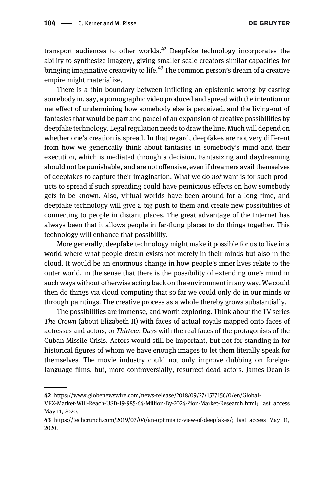transport audiences to other worlds.<sup>42</sup> Deepfake technology incorporates the ability to synthesize imagery, giving smaller-scale creators similar capacities for bringing imaginative creativity to life.<sup>43</sup> The common person's dream of a creative empire might materialize.

There is a thin boundary between inflicting an epistemic wrong by casting somebody in, say, a pornographic video produced and spread with the intention or net effect of undermining how somebody else is perceived, and the living-out of fantasies that would be part and parcel of an expansion of creative possibilities by deepfake technology. Legal regulation needs to draw the line. Much will depend on whether one's creation is spread. In that regard, deepfakes are not very different from how we generically think about fantasies in somebody's mind and their execution, which is mediated through a decision. Fantasizing and daydreaming should not be punishable, and are not offensive, even if dreamers avail themselves of deepfakes to capture their imagination. What we do not want is for such products to spread if such spreading could have pernicious effects on how somebody gets to be known. Also, virtual worlds have been around for a long time, and deepfake technology will give a big push to them and create new possibilities of connecting to people in distant places. The great advantage of the Internet has always been that it allows people in far-flung places to do things together. This technology will enhance that possibility.

More generally, deepfake technology might make it possible for us to live in a world where what people dream exists not merely in their minds but also in the cloud. It would be an enormous change in how people's inner lives relate to the outer world, in the sense that there is the possibility of extending one's mind in such ways without otherwise acting back on the environment in any way. We could then do things via cloud computing that so far we could only do in our minds or through paintings. The creative process as a whole thereby grows substantially.

The possibilities are immense, and worth exploring. Think about the TV series The Crown (about Elizabeth II) with faces of actual royals mapped onto faces of actresses and actors, or Thirteen Days with the real faces of the protagonists of the Cuban Missile Crisis. Actors would still be important, but not for standing in for historical figures of whom we have enough images to let them literally speak for themselves. The movie industry could not only improve dubbing on foreignlanguage films, but, more controversially, resurrect dead actors. James Dean is

<sup>42</sup> [https://www.globenewswire.com/news-release/2018/09/27/1577156/0/en/Global-](https://www.globenewswire.com/news-release/2018/09/27/1577156/0/en/Global-VFX-Market-Will-Reach-USD-19-985-64-Million-By-2024-Zion-Market-Research.html)

[VFX-Market-Will-Reach-USD-19-985-64-Million-By-2024-Zion-Market-Research.html;](https://www.globenewswire.com/news-release/2018/09/27/1577156/0/en/Global-VFX-Market-Will-Reach-USD-19-985-64-Million-By-2024-Zion-Market-Research.html) last access May 11, 2020.

<sup>43</sup> [https://techcrunch.com/2019/07/04/an-optimistic-view-of-deepfakes/;](https://techcrunch.com/2019/07/04/an-optimistic-view-of-deepfakes/) last access May 11, 2020.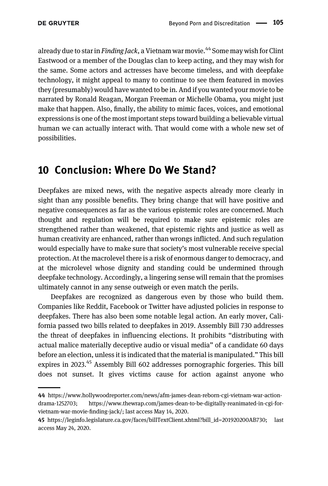<span id="page-24-0"></span>already due to star in Finding Jack, a Vietnam war movie.<sup>44</sup> Some may wish for Clint Eastwood or a member of the Douglas clan to keep acting, and they may wish for the same. Some actors and actresses have become timeless, and with deepfake technology, it might appeal to many to continue to see them featured in movies they (presumably) would have wanted to be in. And if you wanted your movie to be narrated by Ronald Reagan, Morgan Freeman or Michelle Obama, you might just make that happen. Also, finally, the ability to mimic faces, voices, and emotional expressions is one of the most important steps toward building a believable virtual human we can actually interact with. That would come with a whole new set of possibilities.

#### 10 Conclusion: Where Do We Stand?

Deepfakes are mixed news, with the negative aspects already more clearly in sight than any possible benefits. They bring change that will have positive and negative consequences as far as the various epistemic roles are concerned. Much thought and regulation will be required to make sure epistemic roles are strengthened rather than weakened, that epistemic rights and justice as well as human creativity are enhanced, rather than wrongs inflicted. And such regulation would especially have to make sure that society's most vulnerable receive special protection. At the macrolevel there is a risk of enormous danger to democracy, and at the microlevel whose dignity and standing could be undermined through deepfake technology. Accordingly, a lingering sense will remain that the promises ultimately cannot in any sense outweigh or even match the perils.

Deepfakes are recognized as dangerous even by those who build them. Companies like Reddit, Facebook or Twitter have adjusted policies in response to deepfakes. There has also been some notable legal action. An early mover, California passed two bills related to deepfakes in 2019. Assembly Bill 730 addresses the threat of deepfakes in influencing elections. It prohibits "distributing with actual malice materially deceptive audio or visual media" of a candidate 60 days before an election, unless it is indicated that the material is manipulated." This bill expires in 2023.<sup>45</sup> Assembly Bill 602 addresses pornographic forgeries. This bill does not sunset. It gives victims cause for action against anyone who

<sup>44</sup> [https://www.hollywoodreporter.com/news/afm-james-dean-reborn-cgi-vietnam-war-action](https://www.hollywoodreporter.com/news/afm-james-dean-reborn-cgi-vietnam-war-action-drama-1252703)[drama-1252703](https://www.hollywoodreporter.com/news/afm-james-dean-reborn-cgi-vietnam-war-action-drama-1252703); [https://www.thewrap.com/james-dean-to-be-digitally-reanimated-in-cgi-for](https://www.thewrap.com/james-dean-to-be-digitally-reanimated-in-cgi-for-vietnam-war-movie-finding-jack/)[vietnam-war-movie-](https://www.thewrap.com/james-dean-to-be-digitally-reanimated-in-cgi-for-vietnam-war-movie-finding-jack/)finding-jack/; last access May 14, 2020.

<sup>45</sup> [https://leginfo.legislature.ca.gov/faces/billTextClient.xhtml?bill\\_id=201920200AB730;](https://leginfo.legislature.ca.gov/faces/billTextClient.xhtml?bill_id=201920200AB730) last access May 24, 2020.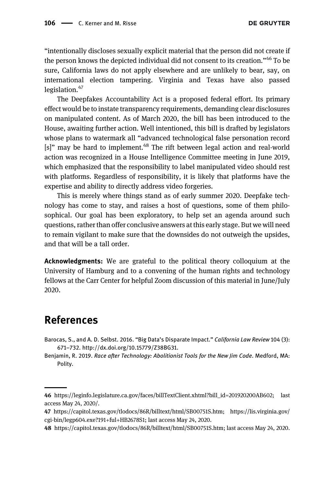<span id="page-25-0"></span>"intentionally discloses sexually explicit material that the person did not create if the person knows the depicted individual did not consent to its creation."<sup>46</sup> To be sure, California laws do not apply elsewhere and are unlikely to bear, say, on international election tampering. Virginia and Texas have also passed legislation.<sup>47</sup>

The Deepfakes Accountability Act is a proposed federal effort. Its primary effect would be to instate transparency requirements, demanding clear disclosures on manipulated content. As of March 2020, the bill has been introduced to the House, awaiting further action. Well intentioned, this bill is drafted by legislators whose plans to watermark all "advanced technological false personation record  $[s]$ " may be hard to implement.<sup>48</sup> The rift between legal action and real-world action was recognized in a House Intelligence Committee meeting in June 2019, which emphasized that the responsibility to label manipulated video should rest with platforms. Regardless of responsibility, it is likely that platforms have the expertise and ability to directly address video forgeries.

This is merely where things stand as of early summer 2020. Deepfake technology has come to stay, and raises a host of questions, some of them philosophical. Our goal has been exploratory, to help set an agenda around such questions, rather than offer conclusive answers at this early stage. But we will need to remain vigilant to make sure that the downsides do not outweigh the upsides, and that will be a tall order.

Acknowledgments: We are grateful to the political theory colloquium at the University of Hamburg and to a convening of the human rights and technology fellows at the Carr Center for helpful Zoom discussion of this material in June/July 2020.

#### References

- Barocas, S., and A. D. Selbst. 2016. "Big Data's Disparate Impact." California Law Review 104 (3): 671–732. [http://dx.doi.org/10.15779/Z38BG31.](http://dx.doi.org/10.15779/Z38BG31)
- Benjamin, R. 2019. Race after Technology: Abolitionist Tools for the New Jim Code. Medford, MA: Polity.

<sup>46</sup> [https://leginfo.legislature.ca.gov/faces/billTextClient.xhtml?bill\\_id=201920200AB602;](https://leginfo.legislature.ca.gov/faces/billTextClient.xhtml?bill_id=201920200AB602) last access May 24, 2020/.

<sup>47</sup> <https://capitol.texas.gov/tlodocs/86R/billtext/html/SB00751S.htm>; [https://lis.virginia.gov/](https://lis.virginia.gov/cgi-bin/legp604.exe?191+ful+HB2678S1) [cgi-bin/legp604.exe?191](https://lis.virginia.gov/cgi-bin/legp604.exe?191+ful+HB2678S1)+ful+HB2678S1; last access May 24, 2020.

<sup>48</sup> <https://capitol.texas.gov/tlodocs/86R/billtext/html/SB00751S.htm>; last access May 24, 2020.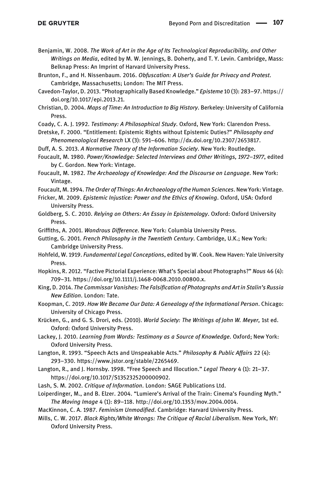- <span id="page-26-0"></span>Benjamin, W. 2008. The Work of Art in the Age of Its Technological Reproducibility, and Other Writings on Media, edited by M. W. Jennings, B. Doherty, and T. Y. Levin. Cambridge, Mass: Belknap Press: An Imprint of Harvard University Press.
- Brunton, F., and H. Nissenbaum. 2016. Obfuscation: A User's Guide for Privacy and Protest. Cambridge, Massachusetts; London: The MIT Press.
- Cavedon-Taylor, D. 2013. "Photographically Based Knowledge." Episteme 10 (3): 283–97. [https://](https://doi.org/10.1017/epi.2013.21) [doi.org/10.1017/epi.2013.21.](https://doi.org/10.1017/epi.2013.21)
- Christian, D. 2004. Maps of Time: An Introduction to Big History. Berkeley: University of California Press.

Coady, C. A. J. 1992. Testimony: A Philosophical Study. Oxford, New York: Clarendon Press.

Dretske, F. 2000. "Entitlement: Epistemic Rights without Epistemic Duties?" Philosophy and Phenomenological Research LX (3): 591–606.<http://dx.doi.org/10.2307/2653817>.

Duff, A. S. 2013. A Normative Theory of the Information Society. New York: Routledge.

Foucault, M. 1980. Power/Knowledge: Selected Interviews and Other Writings, 1972–1977, edited by C. Gordon. New York: Vintage.

Foucault, M. 1982. The Archaeology of Knowledge: And the Discourse on Language. New York: Vintage.

Foucault, M. 1994. The Order of Things: An Archaeology of the Human Sciences. New York: Vintage.

Fricker, M. 2009. Epistemic Injustice: Power and the Ethics of Knowing. Oxford, USA: Oxford University Press.

Goldberg, S. C. 2010. Relying on Others: An Essay in Epistemology. Oxford: Oxford University Press.

Griffiths, A. 2001. Wondrous Difference. New York: Columbia University Press.

Gutting, G. 2001. French Philosophy in the Twentieth Century. Cambridge, U.K.; New York: Cambridge University Press.

- Hohfeld, W. 1919. Fundamental Legal Conceptions, edited by W. Cook. New Haven: Yale University Press.
- Hopkins, R. 2012. "Factive Pictorial Experience: What's Special about Photographs?" Nous 46 (4): 709–31.<https://doi.org/10.1111/j.1468-0068.2010.00800.x>.
- King, D. 2014. The Commissar Vanishes: The Falsification of Photographs and Art in Stalin's Russia New Edition. London: Tate.

Koopman, C. 2019. How We Became Our Data: A Genealogy of the Informational Person. Chicago: University of Chicago Press.

- Krücken, G., and G. S. Drori, eds. (2010). World Society: The Writings of John W. Meyer, 1st ed. Oxford: Oxford University Press.
- Lackey, J. 2010. Learning from Words: Testimony as a Source of Knowledge. Oxford; New York: Oxford University Press.
- Langton, R. 1993. "Speech Acts and Unspeakable Acts." Philosophy & Public Affairs 22 (4): 293–330.<https://www.jstor.org/stable/2265469>.
- Langton, R., and J. Hornsby. 1998. "Free Speech and Illocution." Legal Theory 4 (1): 21-37. [https://doi.org/10.1017/S1352325200000902.](https://doi.org/10.1017/S1352325200000902)
- Lash, S. M. 2002. Critique of Information. London: SAGE Publications Ltd.
- Loiperdinger, M., and B. Elzer. 2004. "Lumiere's Arrival of the Train: Cinema's Founding Myth." The Moving Image 4 (1): 89–118. [http://doi.org/10.1353/mov.2004.0014.](http://doi.org/10.1353/mov.2004.0014)

MacKinnon, C. A. 1987. Feminism Unmodified. Cambridge: Harvard University Press.

Mills, C. W. 2017. Black Rights/White Wrongs: The Critique of Racial Liberalism. New York, NY: Oxford University Press.